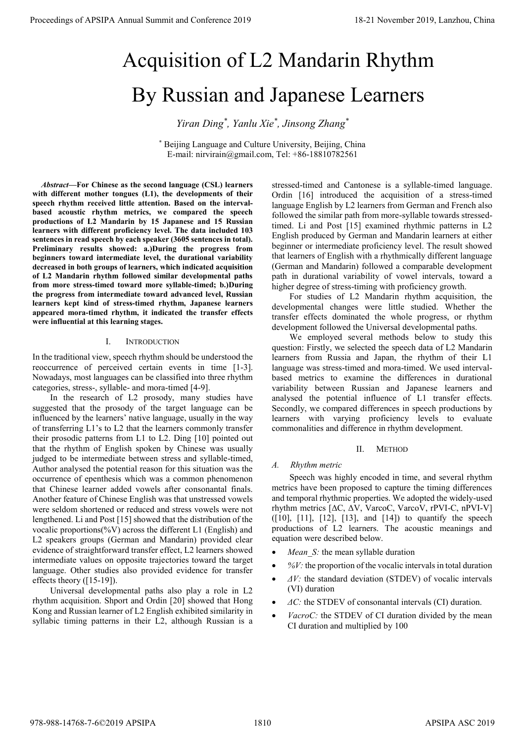# Acquisition of L2 Mandarin Rhythm By Russian and Japanese Learners

*Yiran Ding\* , Yanlu Xie\* , Jinsong Zhang\**

\* Beijing Language and Culture University, Beijing, China E-mail: nirvirain@gmail.com, Tel: +86-18810782561

*Abstract***—For Chinese as the second language (CSL) learners with different mother tongues (L1), the developments of their speech rhythm received little attention. Based on the intervalbased acoustic rhythm metrics, we compared the speech productions of L2 Mandarin by 15 Japanese and 15 Russian learners with different proficiency level. The data included 103 sentences in read speech by each speaker (3605 sentences in total). Preliminary results showed: a.)During the progress from beginners toward intermediate level, the durational variability decreased in both groups of learners, which indicated acquisition of L2 Mandarin rhythm followed similar developmental paths from more stress-timed toward more syllable-timed; b.)During the progress from intermediate toward advanced level, Russian learners kept kind of stress-timed rhythm, Japanese learners appeared mora-timed rhythm, it indicated the transfer effects were influential at this learning stages.** 

## I. INTRODUCTION

In the traditional view, speech rhythm should be understood the reoccurrence of perceived certain events in time [1-3]. Nowadays, most languages can be classified into three rhythm categories, stress-, syllable- and mora-timed [4-9].

In the research of L2 prosody, many studies have suggested that the prosody of the target language can be influenced by the learners' native language, usually in the way of transferring L1's to L2 that the learners commonly transfer their prosodic patterns from L1 to L2. Ding [10] pointed out that the rhythm of English spoken by Chinese was usually judged to be intermediate between stress and syllable-timed, Author analysed the potential reason for this situation was the occurrence of epenthesis which was a common phenomenon that Chinese learner added vowels after consonantal finals. Another feature of Chinese English was that unstressed vowels were seldom shortened or reduced and stress vowels were not lengthened. Li and Post [15] showed that the distribution of the vocalic proportions(%V) across the different L1 (English) and L2 speakers groups (German and Mandarin) provided clear evidence of straightforward transfer effect, L2 learners showed intermediate values on opposite trajectories toward the target language. Other studies also provided evidence for transfer effects theory ([15-19]). **Proceedings of APSIPA Annual Summit and Conference 2019**<br> **Acquisition of L2 Mandarin Rhythma**<br>
By Russian and Japanese Learners's transformation of the summit and conference 2019<br> **Process of the summit and Conference 2** 

Universal developmental paths also play a role in L2 rhythm acquisition. Shport and Ordin [20] showed that Hong Kong and Russian learner of L2 English exhibited similarity in syllabic timing patterns in their L2, although Russian is a stressed-timed and Cantonese is a syllable-timed language. Ordin [16] introduced the acquisition of a stress-timed language English by L2 learners from German and French also followed the similar path from more-syllable towards stressedtimed. Li and Post [15] examined rhythmic patterns in L2 English produced by German and Mandarin learners at either beginner or intermediate proficiency level. The result showed that learners of English with a rhythmically different language (German and Mandarin) followed a comparable development path in durational variability of vowel intervals, toward a higher degree of stress-timing with proficiency growth.

For studies of L2 Mandarin rhythm acquisition, the developmental changes were little studied. Whether the transfer effects dominated the whole progress, or rhythm development followed the Universal developmental paths.

We employed several methods below to study this question: Firstly, we selected the speech data of L2 Mandarin learners from Russia and Japan, the rhythm of their L1 language was stress-timed and mora-timed. We used intervalbased metrics to examine the differences in durational variability between Russian and Japanese learners and analysed the potential influence of L1 transfer effects. Secondly, we compared differences in speech productions by learners with varying proficiency levels to evaluate commonalities and difference in rhythm development.

## II. METHOD

## *A. Rhythm metric*

Speech was highly encoded in time, and several rhythm metrics have been proposed to capture the timing differences and temporal rhythmic properties. We adopted the widely-used rhythm metrics [ΔC, ΔV, VarcoC, VarcoV, rPVI-C, nPVI-V] ([10], [11], [12], [13], and [14]) to quantify the speech productions of L2 learners. The acoustic meanings and equation were described below.

- *Mean S*: the mean syllable duration
- *%V:* the proportion of the vocalic intervals in total duration
- *ΔV:* the standard deviation (STDEV) of vocalic intervals (VI) duration
- *ΔC:* the STDEV of consonantal intervals (CI) duration.
- *VacroC:* the STDEV of CI duration divided by the mean CI duration and multiplied by 100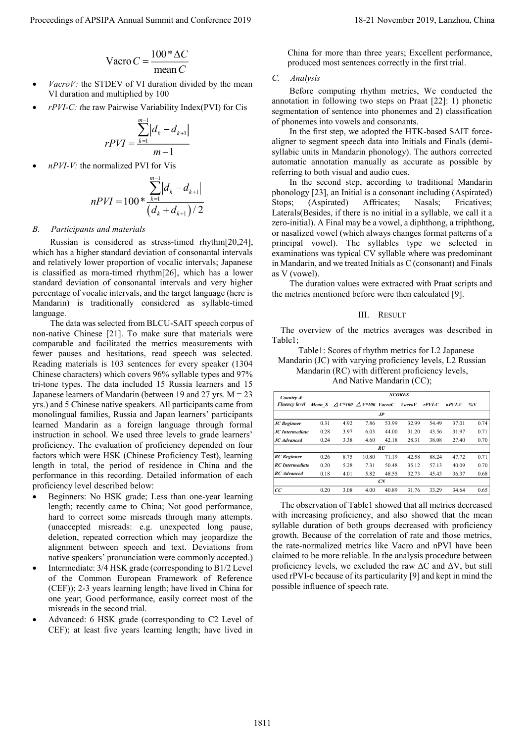$$
Vaccro C = \frac{100 * \Delta C}{mean C}
$$

- *VacroV:* the STDEV of VI duration divided by the mean VI duration and multiplied by 100
- *rPVI-C: t*he raw Pairwise Variability Index(PVI) for Cis

$$
rPVI = \frac{\sum_{k=1}^{m-1} |d_k - d_{k+1}|}{m-1}
$$

*nPVI-V:* the normalized PVI for Vis

$$
nPVI = 100 * \frac{\sum_{k=1}^{m-1} |d_k - d_{k+1}|}{(d_k + d_{k+1})/2}
$$

#### *B. Participants and materials*

Russian is considered as stress-timed rhythm[20,24], which has a higher standard deviation of consonantal intervals and relatively lower proportion of vocalic intervals; Japanese is classified as mora-timed rhythm[26], which has a lower standard deviation of consonantal intervals and very higher percentage of vocalic intervals, and the target language (here is Mandarin) is traditionally considered as syllable-timed language.

The data was selected from BLCU-SAIT speech corpus of non-native Chinese [21]. To make sure that materials were comparable and facilitated the metrics measurements with fewer pauses and hesitations, read speech was selected. Reading materials is 103 sentences for every speaker (1304 Chinese characters) which covers 96% syllable types and 97% tri-tone types. The data included 15 Russia learners and 15 Japanese learners of Mandarin (between 19 and 27 yrs. M = 23 yrs.) and 5 Chinese native speakers. All participants came from monolingual families, Russia and Japan learners' participants learned Mandarin as a foreign language through formal instruction in school. We used three levels to grade learners' proficiency. The evaluation of proficiency depended on four factors which were HSK (Chinese Proficiency Test), learning length in total, the period of residence in China and the performance in this recording. Detailed information of each proficiency level described below: Proceeding of APSIPA Annual Summit and Conference 2019<br>
Years C = 001 Year C = 001 Year C = 001 Year C = 001 Year C = 001 Year C = 001 Year C = 001 Year C = 001 Year C = 001 Year C = 001 Year C = 001 Year C = 001 Year C =

- Beginners: No HSK grade; Less than one-year learning length; recently came to China; Not good performance, hard to correct some misreads through many attempts. (unaccepted misreads: e.g. unexpected long pause, deletion, repeated correction which may jeopardize the alignment between speech and text. Deviations from native speakers' pronunciation were commonly accepted.)
- Intermediate: 3/4 HSK grade (corresponding to B1/2 Level of the Common European Framework of Reference (CEF)); 2-3 years learning length; have lived in China for one year; Good performance, easily correct most of the misreads in the second trial.
- Advanced: 6 HSK grade (corresponding to C2 Level of CEF); at least five years learning length; have lived in

China for more than three years; Excellent performance, produced most sentences correctly in the first trial.

## *C. Analysis*

Before computing rhythm metrics, We conducted the annotation in following two steps on Praat [22]: 1) phonetic segmentation of sentence into phonemes and 2) classification of phonemes into vowels and consonants.

In the first step, we adopted the HTK-based SAIT forcealigner to segment speech data into Initials and Finals (demisyllabic units in Mandarin phonology). The authors corrected automatic annotation manually as accurate as possible by referring to both visual and audio cues.

In the second step, according to traditional Mandarin phonology [23], an Initial is a consonant including (Aspirated) Stops; (Aspirated) Affricates; Nasals; Fricatives; Laterals(Besides, if there is no initial in a syllable, we call it a zero-initial). A Final may be a vowel, a diphthong, a triphthong, or nasalized vowel (which always changes format patterns of a principal vowel). The syllables type we selected in examinations was typical CV syllable where was predominant in Mandarin, and we treated Initials as C (consonant) and Finals as V (vowel).

The duration values were extracted with Praat scripts and the metrics mentioned before were then calculated [9].

### III. RESULT

The overview of the metrics averages was described in Table1;

Table1: Scores of rhythm metrics for L2 Japanese Mandarin (JC) with varying proficiency levels, L2 Russian Mandarin (RC) with different proficiency levels, And Native Mandarin (CC);

| Country &<br><b>Fluency level</b> | <b>SCORES</b> |      |                                                   |       |               |           |           |              |
|-----------------------------------|---------------|------|---------------------------------------------------|-------|---------------|-----------|-----------|--------------|
|                                   |               |      | Mean S $\triangle C^*100 \triangle V^*100$ VacroC |       | <b>VacroV</b> | $r$ PVI-C | $n$ PVI-V | $\gamma_0$ V |
| J <sub>P</sub>                    |               |      |                                                   |       |               |           |           |              |
| JC Beginner                       | 0.31          | 4.92 | 7.86                                              | 53.99 | 32.99         | 54.49     | 37.01     | 0.74         |
| <b>JC</b> Intermediate            | 0.28          | 3.97 | 6.03                                              | 44.00 | 31 20         | 43.56     | 31.97     | 0.71         |
| <b>JC</b> Advanced                | 0.24          | 3.38 | 4.60                                              | 42 18 | 28.31         | 38.08     | 27.40     | 0.70         |
|                                   |               |      |                                                   | RU    |               |           |           |              |
| <b>RC</b> Beginner                | 0.26          | 8.75 | 10.80                                             | 71 19 | 42.58         | 88 24     | 47.72     | 0.71         |
| <b>RC</b> Intermediate            | 0.20          | 5.28 | 7.31                                              | 50.48 | 35.12         | 57.13     | 40.09     | 0.70         |
| <b>RC</b> Advanced                | 0.18          | 4.01 | 5.82                                              | 48.55 | 32.73         | 45.43     | 36.37     | 0.68         |
|                                   |               |      |                                                   | CN    |               |           |           |              |
| СC                                | 0.20          | 3.08 | 4.00                                              | 40.89 | 31.76         | 33 29     | 34.64     | 0.65         |

The observation of Table1 showed that all metrics decreased with increasing proficiency, and also showed that the mean syllable duration of both groups decreased with proficiency growth. Because of the correlation of rate and those metrics, the rate-normalized metrics like Vacro and nPVI have been claimed to be more reliable. In the analysis procedure between proficiency levels, we excluded the raw  $\Delta C$  and  $\Delta V$ , but still used rPVI-c because of its particularity [9] and kept in mind the possible influence of speech rate.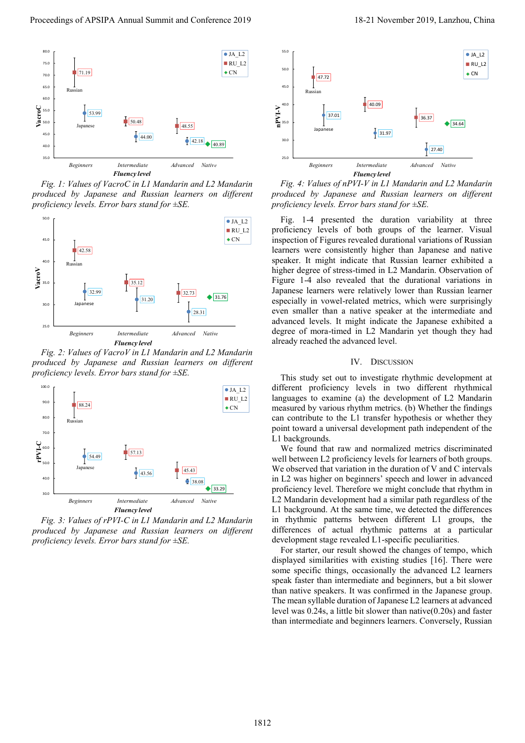

*Fig. 1: Values of VacroC in L1 Mandarin and L2 Mandarin produced by Japanese and Russian learners on different proficiency levels. Error bars stand for ±SE.*



*Fig. 2: Values of VacroV in L1 Mandarin and L2 Mandarin produced by Japanese and Russian learners on different proficiency levels. Error bars stand for ±SE.*



*Fig. 3: Values of rPVI-C in L1 Mandarin and L2 Mandarin produced by Japanese and Russian learners on different proficiency levels. Error bars stand for ±SE.*



*Fig. 4: Values of nPVI-V in L1 Mandarin and L2 Mandarin produced by Japanese and Russian learners on different proficiency levels. Error bars stand for ±SE.*

Fig. 1-4 presented the duration variability at three proficiency levels of both groups of the learner. Visual inspection of Figures revealed durational variations of Russian learners were consistently higher than Japanese and native speaker. It might indicate that Russian learner exhibited a higher degree of stress-timed in L2 Mandarin. Observation of Figure 1-4 also revealed that the durational variations in Japanese learners were relatively lower than Russian learner especially in vowel-related metrics, which were surprisingly even smaller than a native speaker at the intermediate and advanced levels. It might indicate the Japanese exhibited a degree of mora-timed in L2 Mandarin yet though they had already reached the advanced level.

## IV. DISCUSSION

This study set out to investigate rhythmic development at different proficiency levels in two different rhythmical languages to examine (a) the development of L2 Mandarin measured by various rhythm metrics. (b) Whether the findings can contribute to the L1 transfer hypothesis or whether they point toward a universal development path independent of the L1 backgrounds.

We found that raw and normalized metrics discriminated well between L2 proficiency levels for learners of both groups. We observed that variation in the duration of V and C intervals in L2 was higher on beginners' speech and lower in advanced proficiency level. Therefore we might conclude that rhythm in L2 Mandarin development had a similar path regardless of the L1 background. At the same time, we detected the differences in rhythmic patterns between different L1 groups, the differences of actual rhythmic patterns at a particular development stage revealed L1-specific peculiarities.

For starter, our result showed the changes of tempo, which displayed similarities with existing studies [16]. There were some specific things, occasionally the advanced L2 learners speak faster than intermediate and beginners, but a bit slower than native speakers. It was confirmed in the Japanese group. The mean syllable duration of Japanese L2 learners at advanced level was 0.24s, a little bit slower than native(0.20s) and faster than intermediate and beginners learners. Conversely, Russian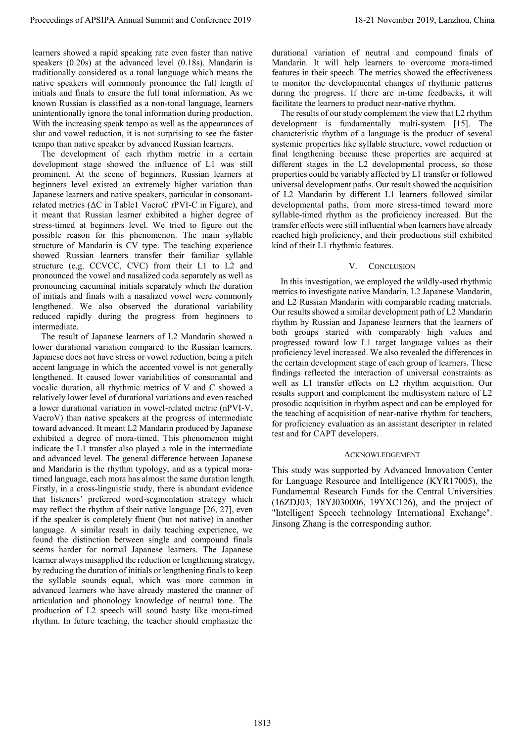learners showed a rapid speaking rate even faster than native speakers (0.20s) at the advanced level (0.18s). Mandarin is traditionally considered as a tonal language which means the native speakers will commonly pronounce the full length of initials and finals to ensure the full tonal information. As we known Russian is classified as a non-tonal language, learners unintentionally ignore the tonal information during production. With the increasing speak tempo as well as the appearances of slur and vowel reduction, it is not surprising to see the faster tempo than native speaker by advanced Russian learners.

The development of each rhythm metric in a certain development stage showed the influence of L1 was still prominent. At the scene of beginners, Russian learners at beginners level existed an extremely higher variation than Japanese learners and native speakers, particular in consonantrelated metrics (ΔC in Table1 VacroC rPVI-C in Figure), and it meant that Russian learner exhibited a higher degree of stress-timed at beginners level. We tried to figure out the possible reason for this phenomenon. The main syllable structure of Mandarin is CV type. The teaching experience showed Russian learners transfer their familiar syllable structure (e.g. CCVCC, CVC) from their L1 to L2 and pronounced the vowel and nasalized coda separately as well as pronouncing cacuminal initials separately which the duration of initials and finals with a nasalized vowel were commonly lengthened. We also observed the durational variability reduced rapidly during the progress from beginners to intermediate.

The result of Japanese learners of L2 Mandarin showed a lower durational variation compared to the Russian learners. Japanese does not have stress or vowel reduction, being a pitch accent language in which the accented vowel is not generally lengthened. It caused lower variabilities of consonantal and vocalic duration, all rhythmic metrics of V and C showed a relatively lower level of durational variations and even reached a lower durational variation in vowel-related metric (nPVI-V, VacroV) than native speakers at the progress of intermediate toward advanced. It meant L2 Mandarin produced by Japanese exhibited a degree of mora-timed. This phenomenon might indicate the L1 transfer also played a role in the intermediate and advanced level. The general difference between Japanese and Mandarin is the rhythm typology, and as a typical moratimed language, each mora has almost the same duration length. Firstly, in a cross-linguistic study, there is abundant evidence that listeners' preferred word-segmentation strategy which may reflect the rhythm of their native language [26, 27], even if the speaker is completely fluent (but not native) in another language. A similar result in daily teaching experience, we found the distinction between single and compound finals seems harder for normal Japanese learners. The Japanese learner always misapplied the reduction or lengthening strategy, by reducing the duration of initials or lengthening finals to keep the syllable sounds equal, which was more common in advanced learners who have already mastered the manner of articulation and phonology knowledge of neutral tone. The production of L2 speech will sound hasty like mora-timed rhythm. In future teaching, the teacher should emphasize the **Proceedings of APSIPA Annual Summit and Conference 2019 1812.** The November 2019 1813 1822 and the November 2019 1813 and the November 2019 1813 and the November 2019 and Conference 2019 and Conference 2019, Lanzhou, Chi

durational variation of neutral and compound finals of Mandarin. It will help learners to overcome mora-timed features in their speech. The metrics showed the effectiveness to monitor the developmental changes of rhythmic patterns during the progress. If there are in-time feedbacks, it will facilitate the learners to product near-native rhythm.

The results of our study complement the view that L2 rhythm development is fundamentally multi-system [15]. The characteristic rhythm of a language is the product of several systemic properties like syllable structure, vowel reduction or final lengthening because these properties are acquired at different stages in the L2 developmental process, so those properties could be variably affected by L1 transfer or followed universal development paths. Our result showed the acquisition of L2 Mandarin by different L1 learners followed similar developmental paths, from more stress-timed toward more syllable-timed rhythm as the proficiency increased. But the transfer effects were still influential when learners have already reached high proficiency, and their productions still exhibited kind of their L1 rhythmic features.

### V. CONCLUSION

In this investigation, we employed the wildly-used rhythmic metrics to investigate native Mandarin, L2 Japanese Mandarin, and L2 Russian Mandarin with comparable reading materials. Our results showed a similar development path of L2 Mandarin rhythm by Russian and Japanese learners that the learners of both groups started with comparably high values and progressed toward low L1 target language values as their proficiency level increased. We also revealed the differences in the certain development stage of each group of learners. These findings reflected the interaction of universal constraints as well as L1 transfer effects on L2 rhythm acquisition. Our results support and complement the multisystem nature of L2 prosodic acquisition in rhythm aspect and can be employed for the teaching of acquisition of near-native rhythm for teachers, for proficiency evaluation as an assistant descriptor in related test and for CAPT developers.

### ACKNOWLEDGEMENT

This study was supported by Advanced Innovation Center for Language Resource and Intelligence (KYR17005), the Fundamental Research Funds for the Central Universities (16ZDJ03, 18YJ030006, 19YXC126), and the project of "Intelligent Speech technology International Exchange". Jinsong Zhang is the corresponding author.